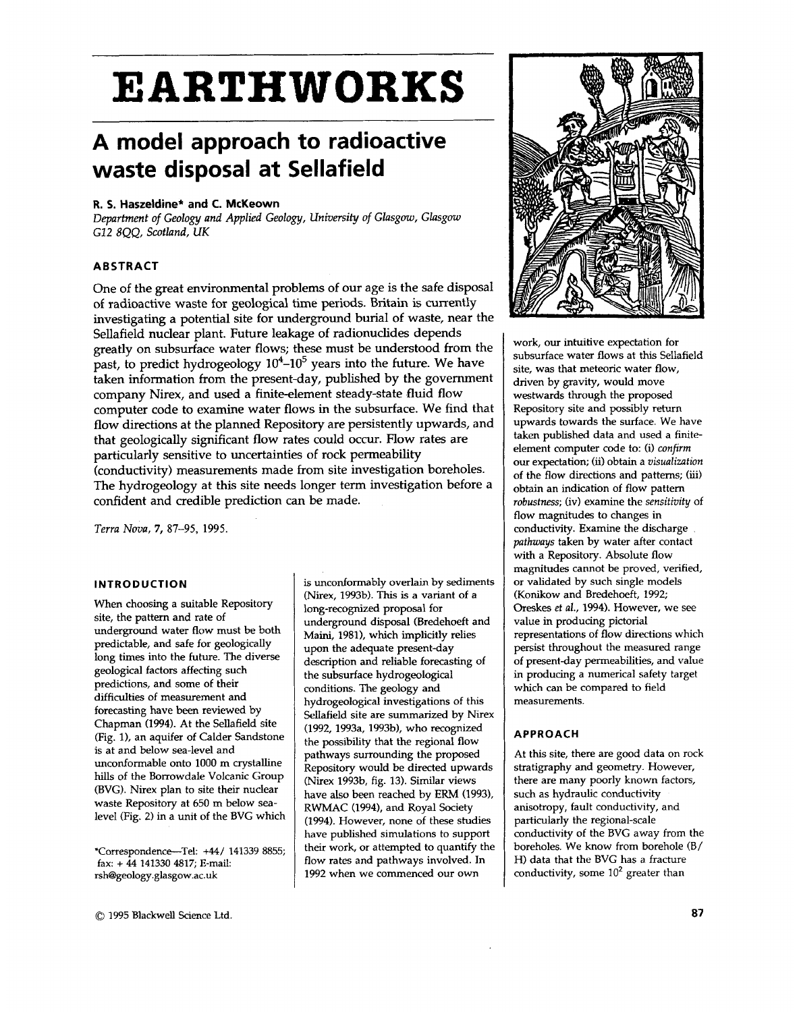# **EARTHWORKS**

## **A model approach to radioactive waste disposal at Sellafield**

#### **R. 5. Haszeldine\* and C. McKeown**

*Department of Geology and Applied Geology, University of Glasgow, Glasgow G12 8QQ, Scotland, UK* 

#### **ABSTRACT**

One of the great environmental problems of our age is the safe disposal of radioactive waste for geological time periods. Britain is currently investigating a potential site for underground burial of waste, near the Sellafield nuclear plant. Future leakage of radionuclides depends greatly on subsurface water flows; these must be understood from the past, to predict hydrogeology **104-105** years into the future. We have taken information from the present-day, published by the government company Nirex, and used a finite-element steady-state fluid flow computer code to examine water flows in the subsurface. We find that flow directions at the planned Repository are persistently upwards, and that geologically significant flow rates could occur. Flow rates are particularly sensitive to uncertainties of rock permeability (conductivity) measurements made from site investigation boreholes. The hydrogeology at this site needs longer term investigation before a confident and credible prediction can be made.

*Terra Nova,* **7,** 87-95, 1995.

#### **INTRODUCTION**

When choosing a suitable Repository site, the pattern and rate of underground water flow must be both predictable, and safe for geologically long times into the future. The diverse geological factors affecting such predictions, and some of their difficulties of measurement and forecasting have been reviewed by Chapman (1994). At the Sellafield site (Fig. **l),** an aquifer of Calder Sandstone is at and below sea-level and unconformable onto 1000 m crystalline hills of the Borrowdale Volcanic Group (BVG). Nirex plan to site their nuclear waste Repository at 650 m below sealevel (Fig. *2)* in a unit of the BVG which

\*Correspondence-Tel: **+44/** 141339 8855; **fax:** + **44** 141330 4817; E-mail rsh@geology .glasgow.ac.uk

is unconformably overlain by sediments (Nirex, 1993b). This is a variant of a long-recognized proposal for underground disposal (Bredehoeft and Maini, 1981), which implicitly relies upon the adequate present-day description and reliable forecasting of the subsurface hydrogeological conditions. The geology and hydrogeological investigations of this Sellafield site are summarized by Nirex (1992, 1993a, 1993b), who recognized the possibility that the regional flow pathways surrounding the proposed Repository would be directed upwards (Nirex 1993b, fig. 13). Similar views have also been reached by ERM (1993), RWMAC (1994), and Royal Society (1994). However, none of these studies have published simulations to support their work, or attempted to quantify the flow rates and pathways involved. In 1992 when we commenced our own



work, our intuitive expectation for subsurface water flows at this Sellafield site, was that meteoric water flow, driven by gravity, would move westwards through the proposed Repository site and possibly return upwards towards the surface. We have taken published data and used a finiteelement computer code to: (i) *confirm*  our expectation; **(ii)** obtain a *visualization*  of the **flow** directions and patterns; (iii) obtain an indication of **flow** pattern *robustness;* (iv) examine the *sensitivity* of flow magnitudes to changes in conductivity. Examine the discharge *pathways* taken by water after contact with a Repository. Absolute flow magnitudes cannot be proved, verified, or validated by such single models (Konikow and Bredehoeft, 1992; Oreskes *et al.,* 1994). However, we see value in producing pictorial representations of flow directions which persist throughout the measured range of present-day permeabilities, and value in producing a numerical safety target which can be compared to field measurements.

#### **APPROACH**

At this site, there are good data on rock stratigraphy and geometry. However, there are many poorly known factors, such as hydraulic conductivity anisotropy, fault conductivity, and particularly the regional-scale conductivity **of** the BVG away from the boreholes. We know from borehole (B/ H) data that the BVG has a fracture conductivity, some **lo2** greater than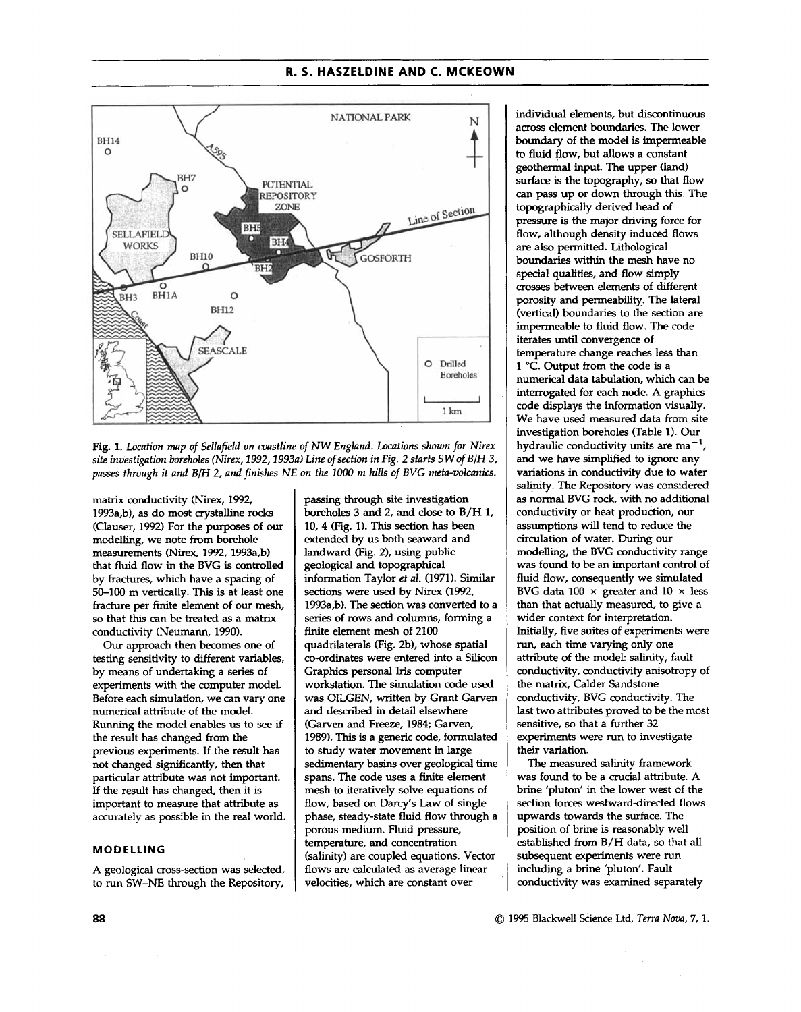

Fig. 1. Location map of Sellafield on coastline of NW England. Locations shown for Nirex *site investigation boreholes (Nirex, 2992,2993~) Line* of *section in Fig. 2 starts S W* **of** *B/H 3, passes through it and B/H 2, and finishes NE on the 1000 rn hills* of *BVG meta-mlcanics.* 

matrix conductivity (Nirex, 1992, 1993a,b), as do most crystalline rocks (Clauser, 1992) For the purposes of **our**  modelling, we note from borehole measurements (Nirex, 1992, 1993a,b) that fluid flow in the BVG is controlled by fractures, which have a spacing of 50-100 m vertically. This is at least one fracture per finite element of our mesh, *so* that this can be treated **as** a matrix conductivity (Neumann, 1990).

*Our* approach then **becomes** one of testing sensitivity to different variables, by means of undertaking a series of experiments with the computer model. Before each simulation, we can vary one numerical attribute of the model. Running the model enables us to *see* if the result has changed from the previous experiments. If the result has not changed significantly, then that particular attribute was not important. If the result has changed, then it is important to measure that attribute as accurately as possible in the real world.

#### **MODELLING**

A geological cross-section was selected, to run SW-NE through the Repository,

passing through site investigation boreholes 3 and 2, and close to B/H 1, **10,4** (Fig. 1). This section **has been**  extended by **us** both seaward and landward (Fig. **Z),** using public geological and topographical information Taylor *et al.* (1971). Similar **sections** were **used** by Nirex (1992, 1993a,b). The section was converted to a series of rows and columns, forming a finite element mesh of 2100 quadrilaterals (Fig. Zb), whose spatial co-ordinates were entered into a Silicon Graphics personal Iris computer workstation. The simulation code **used**  was OTLGEN, written by Grant Garven and described in detail elsewhere (Garven and Freeze, 1984; Garven, 1989). This is a generic code, formulated to study water movement in large sedimentary basins over geological time spans. The code **uses** a finite element mesh to iteratively solve equations of flow, based on Darcy's Law of single phase, steady-state fluid flow through a porous medium. Fluid pressure, temperature, and concentration (salinity) are coupled equations. Vector flows are calculated as average linear velocities, which are constant over

individual elements, but discontinuous across element boundaries. The lower boundary of the model is impermeable to fluid flow, but allows a constant geothermal input. The upper **(land) surface** is the topography, *so* that flow can pass up or down through this. The topographically derived head of pressure is the major driving force for flow, although density induced flows are also permitted. Lithological boundaries within the mesh have no special **qualities,** and flow simply *crosses* between elements of different porosity and permeability. The lateral (vertical) boundaries to the section are impermeable to fluid flow. The code iterates until convergence of temperature change reaches less than **<sup>1</sup>***"C.* Output from the code is a numerical data tabulation, which can be interrogated for each node. A graphics code displays the information visually. We have used measured data from site investigation boreholes (Table **1).** Our hydraulic conductivity units are  $ma^{-1}$ . and we have simplified to ignore any variations in conductivity due to wafer salinity. The Repository was considered as normal BVG rock, with no additional conductivity or heat production, our assumptions will tend to reduce the circulation of water. During our modelling, the BVG conductivity range was found to be an important control of fluid flow, consequently we simulated BVG data **100 x** greater and 10 **x** less than that actually measured, to give a wider context for interpretation. Initially, five suites of experiments were run, each time varying only one attribute of the model: salinity, fault conductivity, conductivity anisotropy of the matrix, Calder Sandstone conductivity, BVG conductivity. The last two attributes proved to be the most sensitive, *so* that a further 32 experiments were run to investigate their variation.

The measured salinity framework was found to be a crucial attribute. A brine 'pluton' in the lower west of the section forces westward-directed flows upwards towards the surface. The position of brine is reasonably well established from B/H data, so that all subsequent experiments were run including a brine 'pluton'. Fault conductivity was examined separately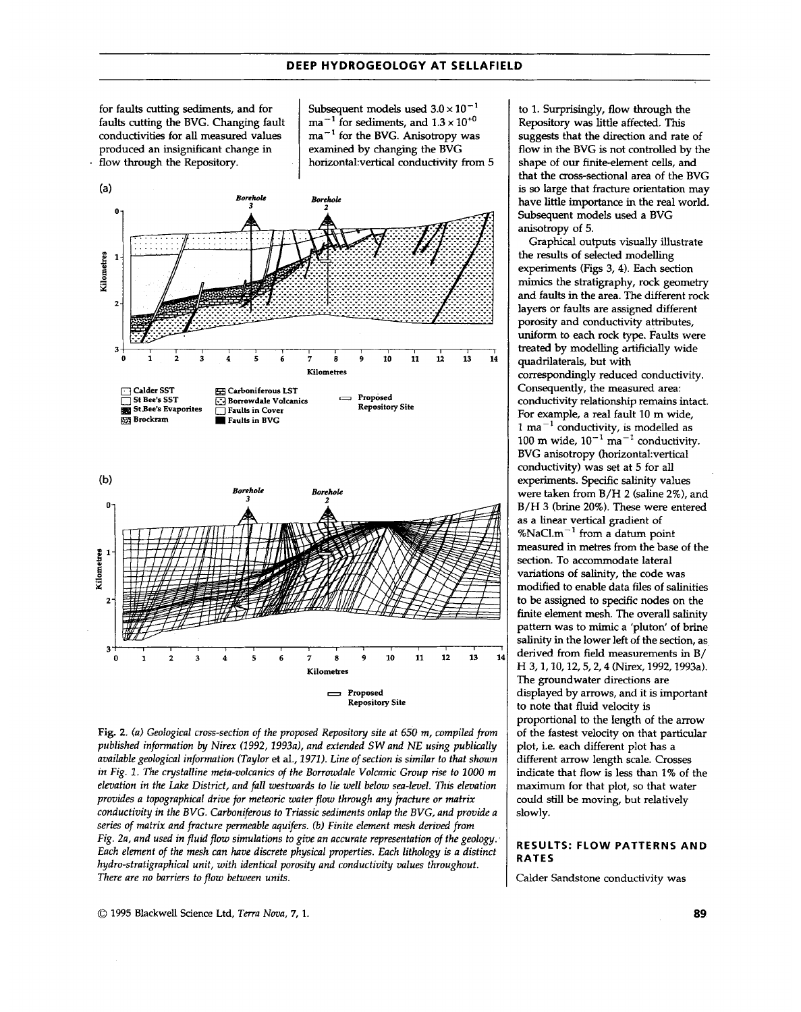for faults cutting sediments, and for faults cutting the BVG. Changing fault conductivities for all measured values produced an insignificant change in<br>flow through the Repository.

Subsequent models used  $3.0 \times 10^{-1}$  $ma^{-1}$  for sediments, and  $1.3 \times 10^{+0}$ ma-' for the BVG. Anisotropy was examined by changing the BVG horizontal:vertical conductivity from 5



Fig. 2. (a) Geological cross-section of the proposed Repository site at 650 m, compiled from *published information by Nirex (1992, 1993a), and extended SW and NE using publically available geological information (Taylor* et **al.,** *1971). Line of section* is *similar to that shown in Fig.* **2.** *The crystalline meta-volcanics of the Borrowdale Volcanic Group rise to 1000 m elevation in the Lake District, and fall westwards to lie well below sea-level.* **This** *elevation provides a topographical drive for meteoric water flow through any fracture or matrix conductivity in the BVG. Carboniferous to Triassic sediments onlap the BVG, and provide a series of matrix and fracture permeable aquifers. (b) Finite element mesh derived from Fig. 2a, and used in fluid flow simulations to give an accurate representation of the geology. Each element of the mesh can have discrete physical properties. Euch lithology* **is** *a distinct hydro-stratigraphical unit, with identical porosity and conductivity values throughout. There are no barriers to flow between units.* 

to 1. Surprisingly, flow through the Repository was little affected. This **suggests** that the direction and rate of flow in the BVG is not controlled by the shape of our finite-element cells, and that the cross-sectional area of the BVG is so large that fracture orientation may have little importance in the real world. Subsequent models used a BVG anisotropy of 5.

the results of selected modelling experiments (Figs 3,4). Each section **mimics** the stratigraphy, rock geometry and faults in the area. The different rock layers or faults are assigned different porosity and conductivity attributes, uniform to each rock type. Faults were treated by modelling artificially wide quadrilaterals, but with correspondingly reduced conductivity. Consequently, the measured area: conductivity relationship remains intact. For example, a real fault 10 m wide, 1 **mi-'** conductivity, is modelled as 100 m wide,  $10^{-1}$  ma<sup>-1</sup> conductivity. BVG anisotropy (horizontal: vertical conductivity) was set at 5 for all experiments. Specific salinity values were taken from B/H 2 (saline 2%), and B/H 3 (brine 20%). These were entered as a linear vertical gradient of %NaCLm-' from a datum point measured in metres from the base of the section. To accommodate lateral variations of salinity, the code was modified to enable data **files** of salinities to be assigned to specific nodes on the finite element mesh. The overall salinity pattern was to mimic a 'pluton' of brine salinity in the lower left of the section, as derived from field measurements in B/ H 3,1,10,12,5,2,4 (Nirex, 1992,1993a). The groundwater directions are displayed by arrows, and it is important to note that fluid velocity is proportional to the length of the arrow of the fastest velocity on that particular plot, i.e. each different plot has a different arrow length scale. Crosses indicate that flow is less than 1% of the maximum for that plot, so that water could still be moving, but relatively Graphical **outputs** visually illustrate slowly.

#### **RESULTS: FLOW PATTERNS AND RATES**

Calder Sandstone conductivity was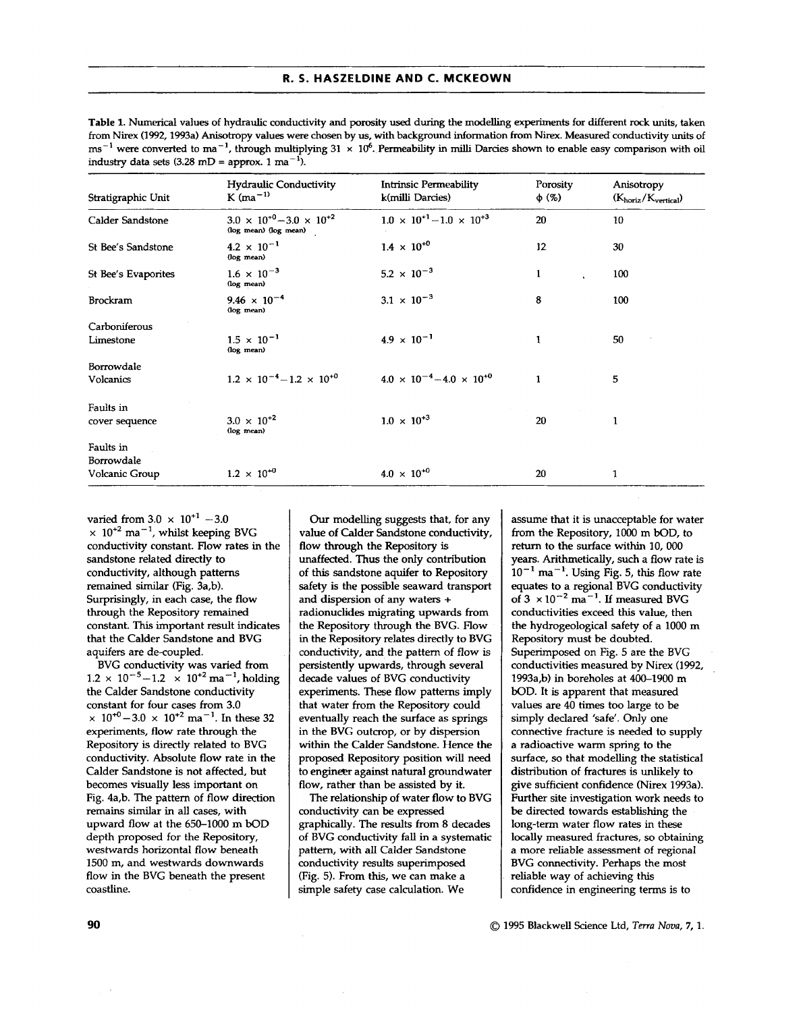Table **1.** Numerical values of hydraulic conductivity and porosity used during the modelling experiments for different rock units, taken from Nirex (1992,1993a) Anisotropy values were chosen by **us,** with background information from Nirex. Measured conductivity units of **ms-'** were converted to ma-', through multiplying 31 **x** lo6. Permeability in **milli** Darcies shown to enable easy comparison with oil industry data sets  $(3.28 \text{ mD} = \text{approx. 1} \text{ ma}^{-1})$ .

| Stratigraphic Unit  | <b>Hydraulic Conductivity</b><br>$K$ (ma <sup><math>-1</math>)</sup> | Intrinsic Permeability<br>k(milli Darcies) | Porosity<br>$\phi$ (%) | Anisotropy<br>$(K_{\text{horiz}}/K_{\text{vertical}})$ |
|---------------------|----------------------------------------------------------------------|--------------------------------------------|------------------------|--------------------------------------------------------|
| Calder Sandstone    | $3.0 \times 10^{+0} - 3.0 \times 10^{+2}$<br>(log mean) (log mean)   | $1.0 \times 10^{+1} - 1.0 \times 10^{+3}$  | 20                     | 10                                                     |
| St Bee's Sandstone  | $4.2 \times 10^{-1}$<br>(log mean)                                   | $1.4 \times 10^{+0}$                       | 12                     | 30                                                     |
| St Bee's Evaporites | $1.6 \times 10^{-3}$<br>(log mean)                                   | $5.2 \times 10^{-3}$                       | 1                      | 100                                                    |
| <b>Brockram</b>     | $9.46 \times 10^{-4}$<br>(log mean)                                  | $3.1 \times 10^{-3}$                       | 8                      | 100                                                    |
| Carboniferous       |                                                                      |                                            |                        |                                                        |
| Limestone           | $1.5 \times 10^{-1}$<br>(log mean)                                   | $4.9 \times 10^{-1}$                       | 1                      | 50                                                     |
| Borrowdale          |                                                                      |                                            |                        |                                                        |
| <b>Volcanics</b>    | $1.2 \times 10^{-4} - 1.2 \times 10^{+0}$                            | $4.0 \times 10^{-4} - 4.0 \times 10^{+0}$  | $\mathbf{1}$           | 5                                                      |
| Faults in           |                                                                      |                                            |                        |                                                        |
| cover sequence      | $3.0 \times 10^{+2}$<br>(log mean)                                   | $1.0 \times 10^{+3}$                       | 20                     | 1.                                                     |
| Faults in           |                                                                      |                                            |                        |                                                        |
| Borrowdale          |                                                                      |                                            |                        |                                                        |
| Volcanic Group      | $1.2 \times 10^{+0}$                                                 | $4.0 \times 10^{+0}$                       | 20                     | 1                                                      |

varied from  $3.0 \times 10^{+1} - 3.0$ **x 10"** ma-', whilst keeping BVG conductivity constant. Flow rates in the sandstone related directly to conductivity, although patterns remained similar (Fig. 3a,b). Surprisingly, in each case, the flow through the Repository remained constant. This important result indicates that the Calder Sandstone and BVG aquifers are de-coupied.

BVG conductivity was varied from  $1.2 \times 10^{-5} - 1.2 \times 10^{+2}$  ma<sup>-1</sup>, holding the Calder Sandstone conductivity constant for four cases from 3.0  $\times$  10<sup>+0</sup> - 3.0  $\times$  10<sup>+2</sup> ma<sup>-1</sup>. In these 32 experiments, flow rate through the Repository is directly related to BVG conductivity. Absolute flow rate in the Calder Sandstone is not affected, but becomes visually less important on Fig. 4a,b. The pattern of flow direction remains similar in all cases, with upward flow at the 650-1000 m bOD depth proposed for the Repository, westwards horizontal flow beneath 1500 m, and westwards downwards flow in the BVG beneath the present coastline.

*Our* modelling **suggests** that, for any value of Calder Sandstone conductivity, flow through the Repository is unaffected. Thus the only contribution of this sandstone aquifer to Repository safety is the possible seaward transport and dispersion of any waters + radionuclides migrating upwards from the Repository through the BVG. Flow in the Repository relates directly to BVG conductivity, and the pattern of flow is persistently upwards, through several decade values of BVG conductivity experiments. These flow patterns imply that water from the Repository could eventually reach the surface as springs in the BVG outcrop, or by dispersion within the Calder Sandstone. Hence the proposed Repository position will need to engineer against natural groundwater flow, rather than be assisted by it.

The relationship of water flow to BVG conductivity can be expressed graphically. The results from **8** decades of BVG conductivity fall in a systematic pattern, with all Calder Sandstone conductivity results superimposed (Fig. 5). From this, we can make a simple safety case calculation. We

assume that it is unacceptable for water from the Repository, 1000 m bOD, to return to the surface within 10, *OOO*  years. Arithmetically, such a flow rate is  $10^{-1}$  ma<sup>-1</sup>. Using Fig. 5, this flow rate equates to a regional BVG conductivity of  $3 \times 10^{-2}$  ma<sup>-1</sup>. If measured BVG conductivities exceed this value, then the hydrogeological safety of a 1000 m Repository must be doubted. Superimposed on Fig. 5 are the BVG conductivities measured by Nirex (1992, 1993a,b) in boreholes at 400-1900 m bOD. It is apparent that measured values are 40 times too large to be simply declared 'safe'. **Only** one connective fracture is needed to supply a radioactive warm spring to the surface, so that modelling the statistical distribution of fractures is unlikely to give sufficient confidence (Nirex 1993a). Further site investigation work needs to be directed towards establishing the long-term water flow rates in these locally measured fractures, so obtaining *a* more reliable assessment of regional BVG connectivity. Perhaps the most reliable way of achieving this confidence in engineering terms is to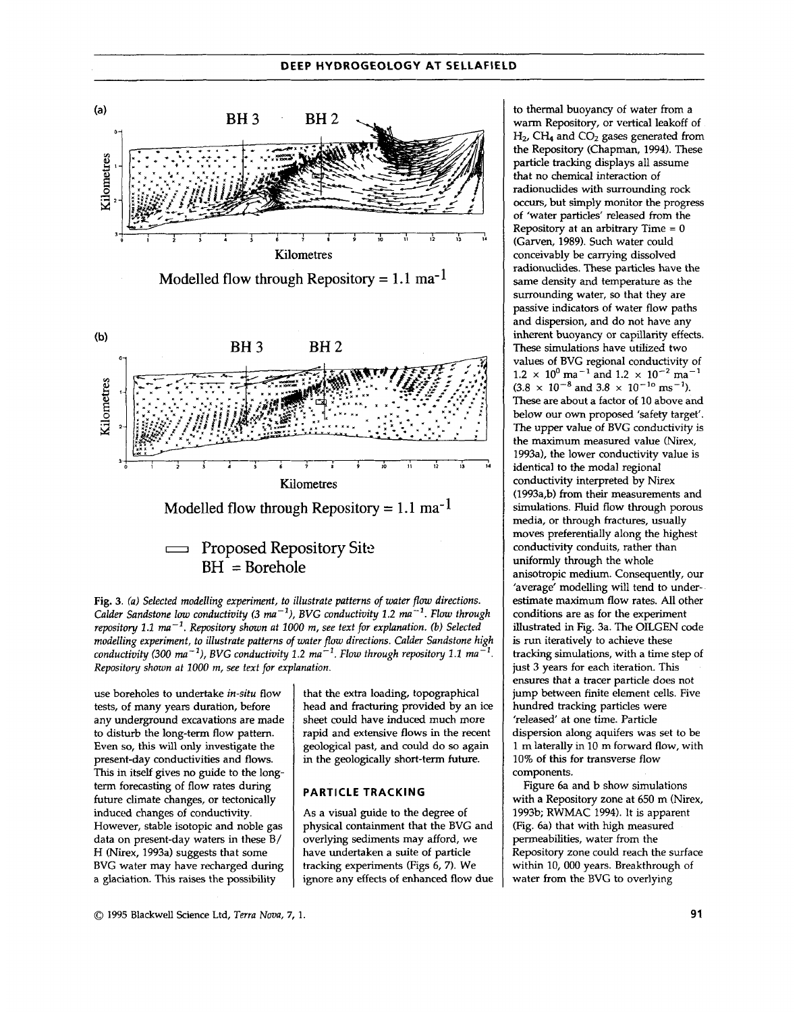



use boreholes to undertake *in-situ* flow tests, of many years duration, before any underground excavations are made to disturb the long-term flow pattern. Even so, this will only investigate the present-day conductivities and flows. This in itself gives no guide to the longterm forecasting of flow rates during future climate changes, or tectonically induced changes of conductivity. However, stable isotopic and noble gas data on present-day waters in these B/ H (Nirex, 1993a) suggests that some BVG water may have recharged during a glaciation. This raises the possibility

that the extra loading, topographical head and fracturing provided by an ice sheet could have induced much more rapid and extensive flows in the recent geological past, and could do *so* again in the geologically short-term future.

#### **PARTICLE TRACKING**

**As** a visual guide to the degree of physical containment that the BVG and overlying sediments may afford, we have undertaken a suite of particle tracking experiments (Figs *6, 7).* We ignore any effects of enhanced **flow** due to thermal buoyancy of water from a warm Repository, or vertical leakoff of H<sub>2</sub>, CH<sub>4</sub> and CO<sub>2</sub> gases generated from the Repository (Chapman, 1994). These particle tracking displays all assume **that** no chemical interaction of radionuclides with surrounding rock *occurs,* but simply monitor the progress of 'water particles' released from the Repository at an arbitrary Time  $= 0$ (Garven, 1989). Such water could conceivably be carrying dissolved radionuclides. These particles have the same density and temperature as the surrounding water, so that they are passive indicators of water flow paths and dispersion, and do not have any inherent buoyancy or capillarity effects. These simulations have utilized two values of BVG regional conductivity of  $1.2 \times 10^{0}$  ma<sup>-1</sup> and  $1.2 \times 10^{-2}$  ma<sup>-1</sup>  $(3.8 \times 10^{-8} \text{ and } 3.8 \times 10^{-10} \text{ ms}^{-1}).$ These are about a factor of 10 above and below our own proposed 'safety target'. The upper value of BVG conductivity is the **maximum** measured value (Nirex, 1993a), the lower conductivity value is identical to the modal regional conductivity interpreted by Nirex (1993a,b) from their measurements and simulations. Fluid flow through porous media, or through fractures, usually moves preferentially along the highest conductivity conduits, rather than uniformly through the whole anisotropic medium. Consequently, our 'average' modelling will tend to underestimate maximum flow rates. All other conditions are as for the experiment illustrated in Fig. 3a. The OILGEN code is run iteratively to achieve these tracking simulations, with a time step of just 3 years for each iteration. This ensures that a tracer particle does not jump between finite element cells. Five hundred tracking particles were 'released' at one time. Particle dispersion along aquifers was set to be 1 m laterally in 10 m forward flow, with 10% of **this** for transverse flow components.

Figure 6a and b show simulations with a Repository zone at 650 m (Nirex, 1993b; RWMAC 1994). It is apparent (Fig. 6a) that with high measured permeabilities, water from the Repository zone could reach the surface within 10, 000 years. Breakthrough of water from the BVG to overlying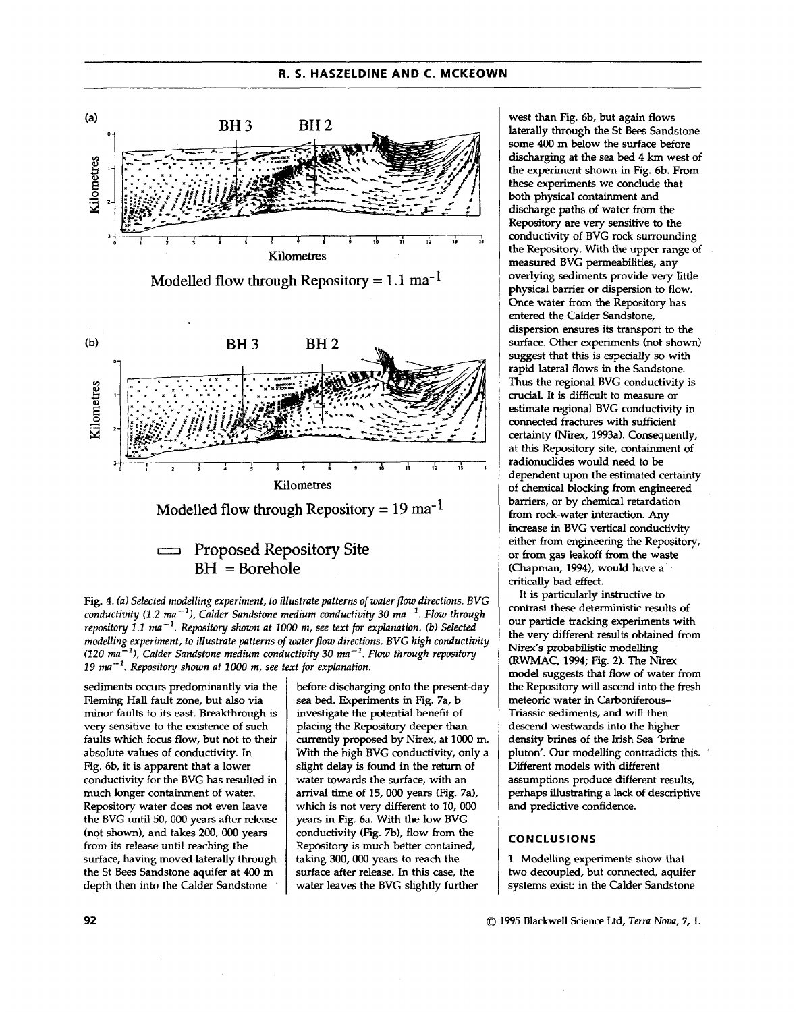### \_\_ ~ ~~\_\_ - ~\_\_ **R. 5. HASZELDINE AND C. MCKEOWN**



Fig. **4.** *fa) Selected modelling experiment, to illustrate patterns of water flow directions. BVG conductivity* (1.2  $ma^{-1}$ ), Calder Sandstone medium conductivity 30  $ma^{-1}$ . Flow through *repository 1.1 ma-'. Repository shown at 1000 m, see text for explanation. (b) Selected modelling experiment, to illustrate patterns* of *water flow directions. BVG high conductivity (120 ma-'), Calder Sandstone medium conductivity 30 ma-'. Flow through repository 19 ma-'. Repository shown at 1000* **m,** *see text for explanation.* 

sediments *occurs* predominantly via the Fleming Hall fault zone, but also via minor faults to its east. Breakthrough is very sensitive to the existence of such faults which focus flow, but not to their absolute values of conductivity. In Fig. 6b, it is apparent that a lower conductivity for the BVG has resulted in much longer containment of water. Repository water does not even leave the BVG until 50,000 years after release (not shown), and takes 200, *OOO* years from its release until reaching the surface, having moved laterally through the St Bees Sandstone aquifer at **400** m depth then into the Calder Sandstone

before discharging onto the present-day sea bed. Experiments in Fig. 7a, b investigate the potential benefit of placing the Repository deeper than currently proposed by Nirex, at 1000 m. With the high BVG conductivity, only a slight delay is found in the **return** of water towards the surface, with an arrival time of 15, 000 years (Fig. 7a), which is not very different to 10, *OOO*  years in Fig. 6a. With the low BVG conductivity (Fig. *7b),* flow from the Repository is much better contained, taking 300, *OOO* years **to** reach the surface after release. In this case, the water leaves the BVG slightly further

west than Fig. 6b, but again flows laterally through the St Bees Sandstone some **400** m below the surface before discharging at the sea bed **4 km** west of the experiment shown in Fig. 6b. From these experiments we conclude that both physical containment **and**  discharge paths of water from the Repository are very sensitive to the conductivity of BVG rock surrounding the Repository. With the upper range of measured BVG permeabilities, any overlying sediments provide very little physical barrier or dispersion to flow. *Once* water from the Repository has entered the Calder Sandstone, dispersion ensures its transport to the surface. Other experiments (not shown) suggest that this is especially *so* with rapid lateral flows in the Sandstone. **Thus** the regional BVG conductivity is crucial. It is difficult to measure or estimate regional BVG conductivity in connected fractures with sufficient certainty *(Nirex,* 1993a). Consequently, at this Repository site, containment of radionuclides would need to be dependent upon the estimated certainty of chemical blocking from engineered barriers, or by chemical retardation from rock-water interaction. Any increase in BVG vertical conductivity either from engineering the Repository, or from gas leakoff from the waste (Chapman, **1994),** would have a critically bad effect.

It is particularly instructive to contrast these deterministic results of **our** particle tracking experiments with the very different results obtained from Nirex's probabilistic modelling (RWMAC, **1994;** Fig. 2). The Nirex model suggests that flow of water from the Repository will ascend into the fresh meteoric water in Carboniferous-Triassic sediments, and will then descend westwards into the higher density brines of the Irish Sea 'brine pluton'. **Our** modelling contradicts this. Different models with different assumptions produce different results, perhaps illustrating a lack of descriptive and predictive confidence.

#### **CONCLUSIONS**

**1** Modelling experiments show that two decoupled, but connected, aquifer systems exist: in the Calder Sandstone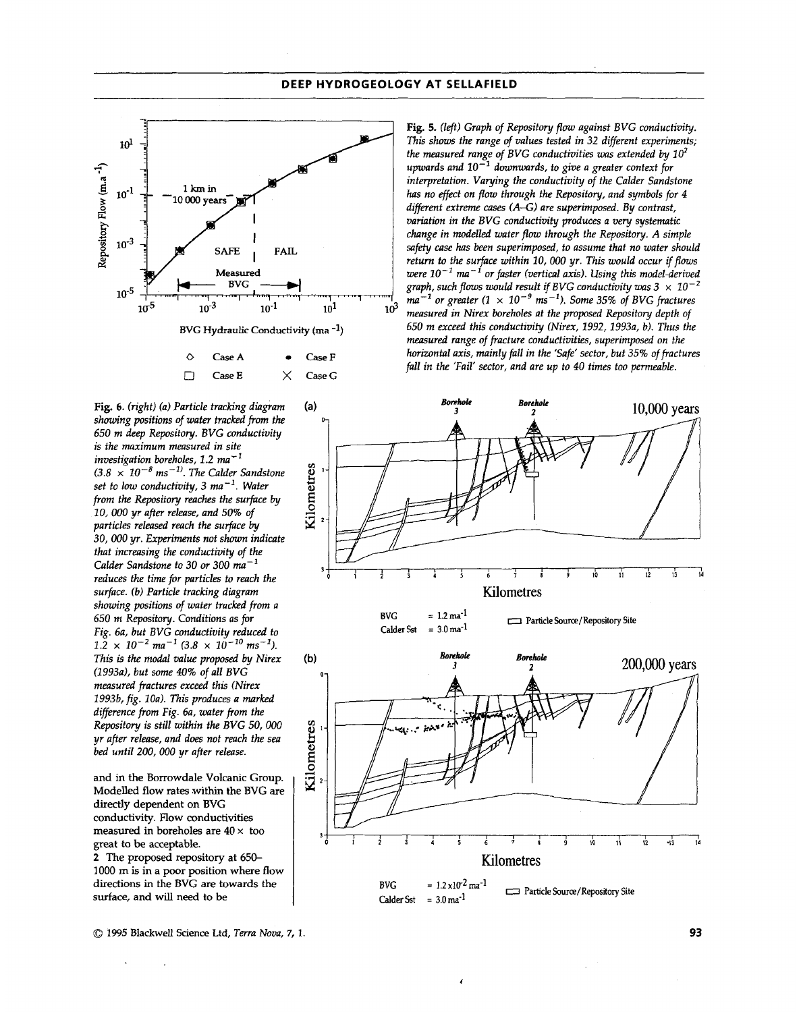

**Fig.** *6. (right) (a) Particle tracking dingram showing positions of water tracked from the 650 m deep Repository. BVG conductivity is the maximum measured in site investigation boreholes, 1.2 ma"*   $(3.8 \times 10^{-8} \text{ ms}^{-1})$ . The Calder Sandstone *set to low conductivity, 3 ma-'. Water from the Repository reaches the surfnce by 10,000 yr after release, and 50% of particles released reach the surface by 30,000 yr. Experiments not shown indicate that increasing the conductivity of the Calder Sandstone to 30 or 300 mn-l reduces the time for particles to reach the surface. (b) Particle tracking dingram showing positions of water tracked from a 650 m Repository. Conditions as fir Fig. 6a, but BVG conductivity reduced to*   $1.2 \times 10^{-2}$  ma<sup>-1</sup> (3.8  $\times 10^{-10}$  ms<sup>-1</sup>). *This* **is** *the modal value proposed by Nirex (1993a), but some* **40%** *of all BVG measured fractures exceed this (Nirex 1993b, fig. 1Oa). This produces a marked difference from Fig. 6a, water from the Repository is still within the BVG 50,* 000 *yr after release, and does not reach the sea bed until 200, 000 yr after relense.* 

**and in the Borrowdale Volcanic Group. Modelled flow rates within the BVG are directly dependent on BVG Conductivity. Flow conductivities measured in boreholes are 40** x **too great to be acceptable. 2 The proposed repository at** 650- **1000** m **is in a poor position where** flow **directions in the BVG are towards the surface, and will need to be** 

Fig. 5. (left) Graph of Repository flow against BVG conductivity. *This shows the range of values tested in 32 different experiments;*  the measured range of BVG conductivities was extended by  $10^2$ *upwards and* lo-' *downwards, to give a greater context fir interpretation. Varying the conductivity of the Calder Sandstone has no effect on flow through the Repository, and symbols for 4 different extreme cases (A-G) are superimposed. By contrast, variation in the BVG conductivity produces a* very *systematic chnnge in modelled water pow through the Repository. A simple safety case has been superimposed, to assume that no water should return to the surface within 10,* 000 *yr. This would occur ifflows were*  $10^{-1}$  *ma*<sup> $-i$ </sup> *or faster (vertical axis). Using this model-derived graph, such flows would result if BVG conductivity was 3*  $\times$  *10<sup>-2</sup>*  $ma^{-1}$  or greater (1  $\times$  10<sup>-9</sup> ms<sup>-1</sup>). Some 35% of BVG fractures *measured in Nirex boreholes at the proposed Repository depth of*  650 *m exceed* **this** *conductivity (Nirex, 1992,19934 b). Thus the measured range of fracture conductivities, superimposed on the horizontal axis, mainly fall in the 'Safe' sector, but 35% of fractures fall in the 'Fail' sector, and are up to 40 times too permeable.* 



*<sup>0</sup>* **1995 Blackwell Science Ltd,** *Terra Nova,* **7, 1 93**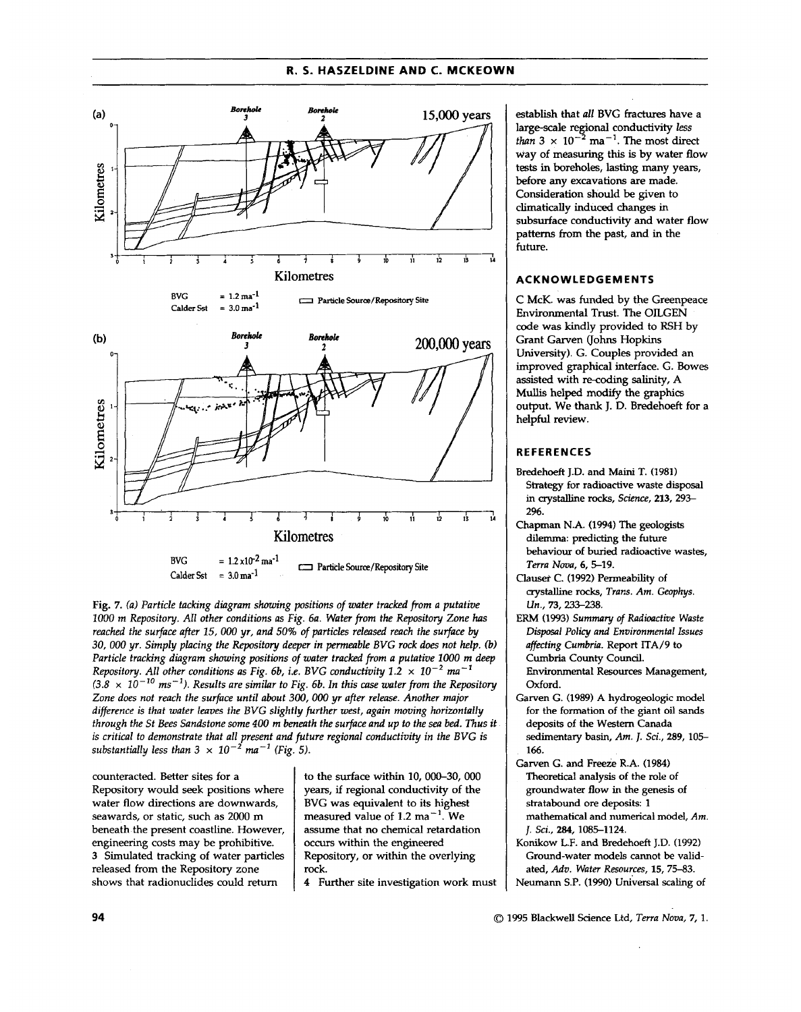#### **R. 5. HASZELDINE AND C. MCKEOWN**



*Fig.* **7.** *(a) Particle tacking diagram shing positions of water tracked from a putative 1000 m Repositoy. All other conditions* **as** *Fig. 6a. Water from the Repositoy Zone has reached the surface after 15,* OOO *yr, and 50% of particles released reach the surface by 30, 000 yr. Simply placing the Repository deeper in permeable BVG rock does not help. (b) Particle tracking diagram showing positions of water tracked from a putative 1000* **m** *deep Repository. All other conditions as Fig. 6b, i.e. BVG conductivity*  $1.2 \times 10^{-2}$  *ma<sup>-1</sup>*  $(3.8 \times 10^{-10} \text{ ms}^{-1})$ . Results are similar to Fig. 6b. In this case water from the Repository *Zone does not reach the surface until about 300,* OOO *yr after release. Another major*  difference is that water leaves the BVG slightly further west, again moving horizontally *through the St Bees Sandstone some 400* **m** *beneath the surface and up to the sen bed. Thus it is critical to demonstrate that all present and future regional conductivity in the BVG is*   $s$ ubstantially less than 3  $\times$   $10^{-2}$   $m$ a $^{-1}$  (Fig. 5).

counteracted. Better sites for a Repository would seek positions where water flow directions are downwards, seawards, or static, such as 2000 m beneath the present coastline. However, engineering costs may be prohibitive. 3 Simulated tracking of water particles released from the Repository zone shows that radionuclides could return

to the surface within **10,** 000-30, *000*  years, if regional conductivity of the BVG was equivalent to its highest measured value of  $1.2 \text{ ma}^{-1}$ . We assume that no chemical retardation occurs within the engineered Repository, or within the overlying rock.

*4* Further site investigation work must

establish that *all* BVG fractures have a large-scale regional conductivity less *than*  $3 \times 10^{-2}$  ma<sup>-1</sup>. The most direct way of measuring this is by water flow tests in boreholes, **lasting** many years, **before any** excavations are made. Consideration should be given to climatically induced changes in subsurface conductivity and water flow patterns from the past, and in the future.

#### **ACKNOWLEDGEMENTS**

C McK. was funded by the Greenpeace Environmental Trust. The OLGEN code **was** kindly provided to RSH by Grant Garven (Johns Hopkins University). G. Couples provided an improved graphical interface. G. Bowes assisted with re-coding **salinity,** A **Mullis** helped modify the graphics output. We thank J. D. Bredehoeft for a helpful review.

#### **REFERENCES**

- Bredehoeft J.D. and Maini T. (1981) *Strategy* for radioactive waste disposal in crystalline rocks, *Science,* 213,293- 2%.
- Chapman N.A. (1994) The geologists dilemma: predicting the future behaviour of buried radioactive wastes, *Terra Nova,* **6,519.**
- crystalline rocks, *Tram. Am. Geophys. Un.,* **73,** 233-238. **Clawt C.** (1992) Permeability **of**
- **ERM** (1993) **Summay** *of Radiaactive Waste Disposal Policy and Environmental Issues affecting Cumbria.* Report **ITA/9** to Cumbria County Council. Environmental Resources Management, Oxford.
- Garven G. (1989) A hydrogeologic model for the formation of the giant **oil** sands deposits of the **Western** Canada sedimentary basin, *Am.* I. *Sci.,* **289,105- 166.**
- Theoretical analysis of the role of groundwater flow in the genesis of stratabound ore deposits: 1 mathematical and numerical model, *Am.*  I. *Sci., 284,* 1085-1124. Garven G. and Freeze **R.A. (1984)**
- Konikow L.F. and Bredehoeft J.D. (1992) Ground-water models cannot be validated, *Ado. Water Resources,* 15, **75-83.**  Neumann S.P. (1990) Universal scaling of

**<sup>94</sup>***0* 1995 Blackwell Science Lid, *Terra Nova, 7,* **1.**